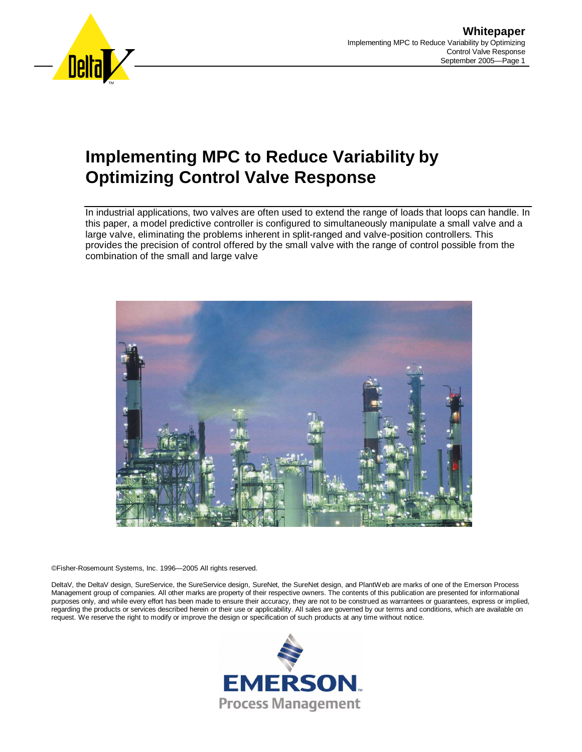

# **Implementing MPC to Reduce Variability by Optimizing Control Valve Response**

In industrial applications, two valves are often used to extend the range of loads that loops can handle. In this paper, a model predictive controller is configured to simultaneously manipulate a small valve and a large valve, eliminating the problems inherent in split-ranged and valve-position controllers. This provides the precision of control offered by the small valve with the range of control possible from the combination of the small and large valve



©Fisher-Rosemount Systems, Inc. 1996—2005 All rights reserved.

DeltaV, the DeltaV design, SureService, the SureService design, SureNet, the SureNet design, and PlantWeb are marks of one of the Emerson Process Management group of companies. All other marks are property of their respective owners. The contents of this publication are presented for informational purposes only, and while every effort has been made to ensure their accuracy, they are not to be construed as warrantees or guarantees, express or implied, regarding the products or services described herein or their use or applicability. All sales are governed by our terms and conditions, which are available on request. We reserve the right to modify or improve the design or specification of such products at any time without notice.

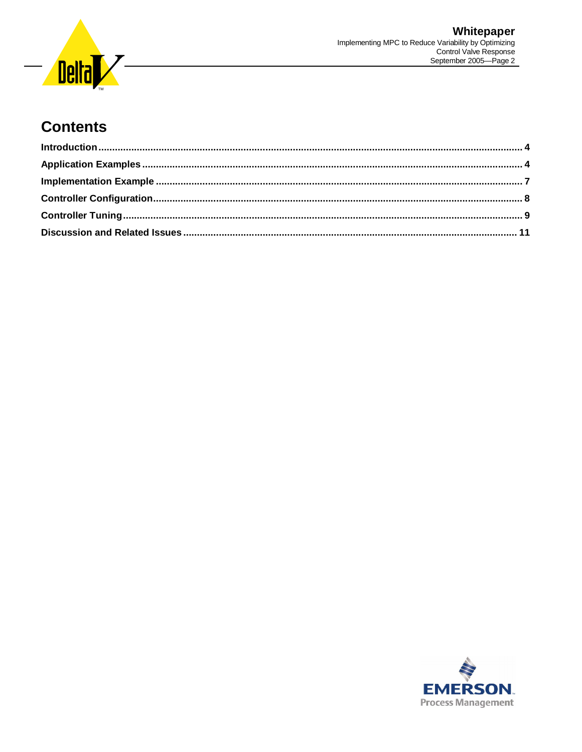

### **Contents**

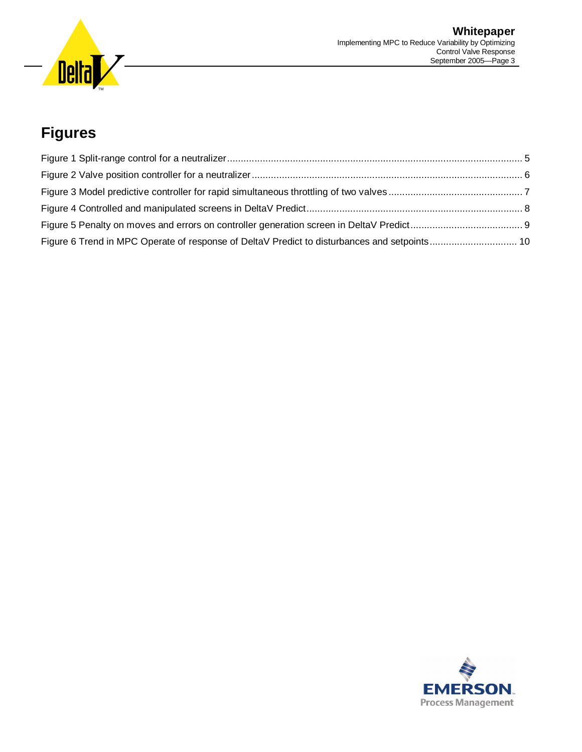

## **Figures**

| Figure 6 Trend in MPC Operate of response of DeltaV Predict to disturbances and setpoints 10 |  |
|----------------------------------------------------------------------------------------------|--|

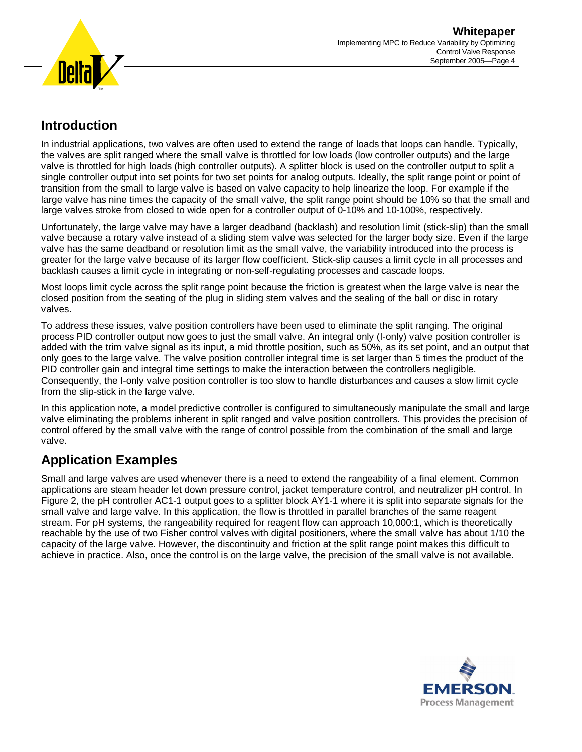

#### **Introduction**

In industrial applications, two valves are often used to extend the range of loads that loops can handle. Typically, the valves are split ranged where the small valve is throttled for low loads (low controller outputs) and the large valve is throttled for high loads (high controller outputs). A splitter block is used on the controller output to split a single controller output into set points for two set points for analog outputs. Ideally, the split range point or point of transition from the small to large valve is based on valve capacity to help linearize the loop. For example if the large valve has nine times the capacity of the small valve, the split range point should be 10% so that the small and large valves stroke from closed to wide open for a controller output of 0-10% and 10-100%, respectively.

Unfortunately, the large valve may have a larger deadband (backlash) and resolution limit (stick-slip) than the small valve because a rotary valve instead of a sliding stem valve was selected for the larger body size. Even if the large valve has the same deadband or resolution limit as the small valve, the variability introduced into the process is greater for the large valve because of its larger flow coefficient. Stick-slip causes a limit cycle in all processes and backlash causes a limit cycle in integrating or non-self-regulating processes and cascade loops.

Most loops limit cycle across the split range point because the friction is greatest when the large valve is near the closed position from the seating of the plug in sliding stem valves and the sealing of the ball or disc in rotary valves.

To address these issues, valve position controllers have been used to eliminate the split ranging. The original process PID controller output now goes to just the small valve. An integral only (I-only) valve position controller is added with the trim valve signal as its input, a mid throttle position, such as 50%, as its set point, and an output that only goes to the large valve. The valve position controller integral time is set larger than 5 times the product of the PID controller gain and integral time settings to make the interaction between the controllers negligible. Consequently, the I-only valve position controller is too slow to handle disturbances and causes a slow limit cycle from the slip-stick in the large valve.

In this application note, a model predictive controller is configured to simultaneously manipulate the small and large valve eliminating the problems inherent in split ranged and valve position controllers. This provides the precision of control offered by the small valve with the range of control possible from the combination of the small and large valve.

#### **Application Examples**

Small and large valves are used whenever there is a need to extend the rangeability of a final element. Common applications are steam header let down pressure control, jacket temperature control, and neutralizer pH control. In Figure 2, the pH controller AC1-1 output goes to a splitter block AY1-1 where it is split into separate signals for the small valve and large valve. In this application, the flow is throttled in parallel branches of the same reagent stream. For pH systems, the rangeability required for reagent flow can approach 10,000:1, which is theoretically reachable by the use of two Fisher control valves with digital positioners, where the small valve has about 1/10 the capacity of the large valve. However, the discontinuity and friction at the split range point makes this difficult to achieve in practice. Also, once the control is on the large valve, the precision of the small valve is not available.

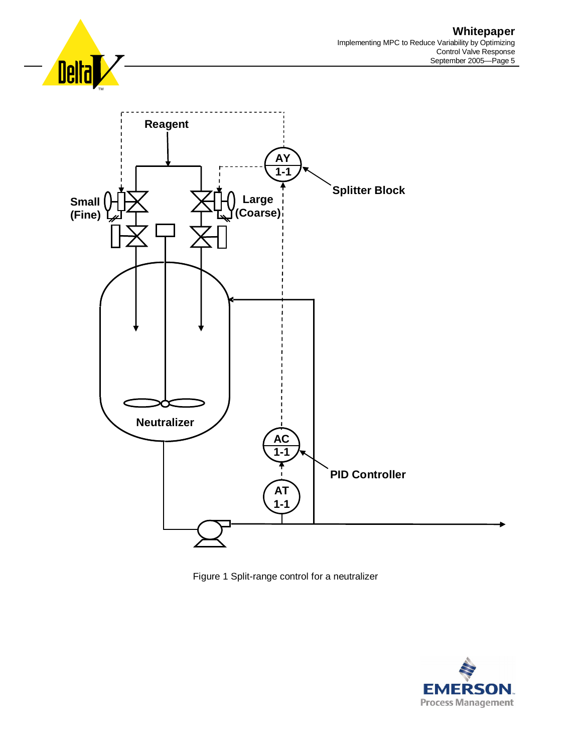





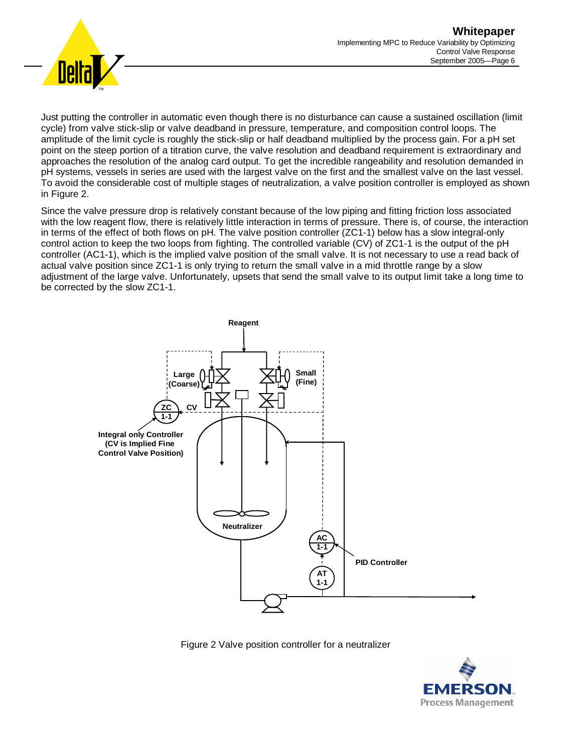



Just putting the controller in automatic even though there is no disturbance can cause a sustained oscillation (limit cycle) from valve stick-slip or valve deadband in pressure, temperature, and composition control loops. The amplitude of the limit cycle is roughly the stick-slip or half deadband multiplied by the process gain. For a pH set point on the steep portion of a titration curve, the valve resolution and deadband requirement is extraordinary and approaches the resolution of the analog card output. To get the incredible rangeability and resolution demanded in pH systems, vessels in series are used with the largest valve on the first and the smallest valve on the last vessel. To avoid the considerable cost of multiple stages of neutralization, a valve position controller is employed as shown in Figure 2.

Since the valve pressure drop is relatively constant because of the low piping and fitting friction loss associated with the low reagent flow, there is relatively little interaction in terms of pressure. There is, of course, the interaction in terms of the effect of both flows on pH. The valve position controller (ZC1-1) below has a slow integral-only control action to keep the two loops from fighting. The controlled variable (CV) of ZC1-1 is the output of the pH controller (AC1-1), which is the implied valve position of the small valve. It is not necessary to use a read back of actual valve position since ZC1-1 is only trying to return the small valve in a mid throttle range by a slow adjustment of the large valve. Unfortunately, upsets that send the small valve to its output limit take a long time to be corrected by the slow ZC1-1.



Figure 2 Valve position controller for a neutralizer

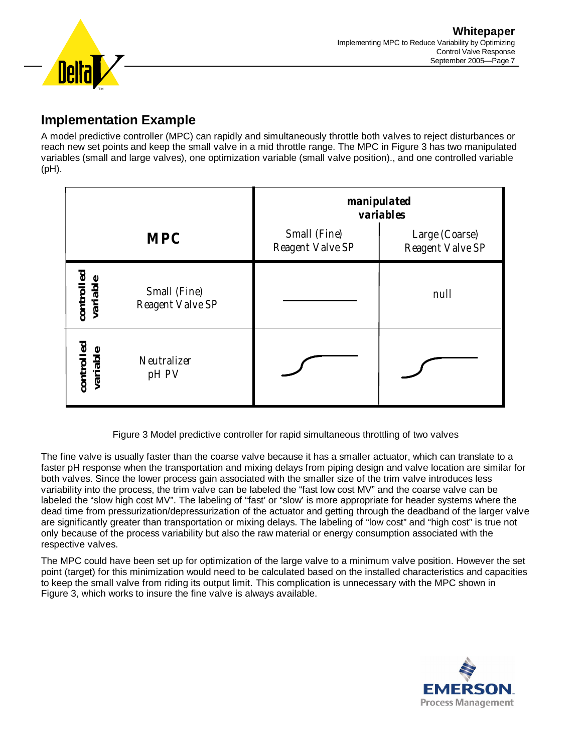

#### **Implementation Example**

A model predictive controller (MPC) can rapidly and simultaneously throttle both valves to reject disturbances or reach new set points and keep the small valve in a mid throttle range. The MPC in Figure 3 has two manipulated variables (small and large valves), one optimization variable (small valve position)., and one controlled variable (pH).

|                        |                                  | manipulated<br>variables         |                                    |  |
|------------------------|----------------------------------|----------------------------------|------------------------------------|--|
|                        | <b>MPC</b>                       | Small (Fine)<br>Reagent Valve SP | Large (Coarse)<br>Reagent Valve SP |  |
| controlled<br>variable | Small (Fine)<br>Reagent Valve SP |                                  | null                               |  |
| controlled<br>variable | Neutralizer<br>pH PV             |                                  |                                    |  |

Figure 3 Model predictive controller for rapid simultaneous throttling of two valves

The fine valve is usually faster than the coarse valve because it has a smaller actuator, which can translate to a faster pH response when the transportation and mixing delays from piping design and valve location are similar for both valves. Since the lower process gain associated with the smaller size of the trim valve introduces less variability into the process, the trim valve can be labeled the "fast low cost MV" and the coarse valve can be labeled the "slow high cost MV". The labeling of "fast' or "slow' is more appropriate for header systems where the dead time from pressurization/depressurization of the actuator and getting through the deadband of the larger valve are significantly greater than transportation or mixing delays. The labeling of "low cost" and "high cost" is true not only because of the process variability but also the raw material or energy consumption associated with the respective valves.

The MPC could have been set up for optimization of the large valve to a minimum valve position. However the set point (target) for this minimization would need to be calculated based on the installed characteristics and capacities to keep the small valve from riding its output limit. This complication is unnecessary with the MPC shown in Figure 3, which works to insure the fine valve is always available.

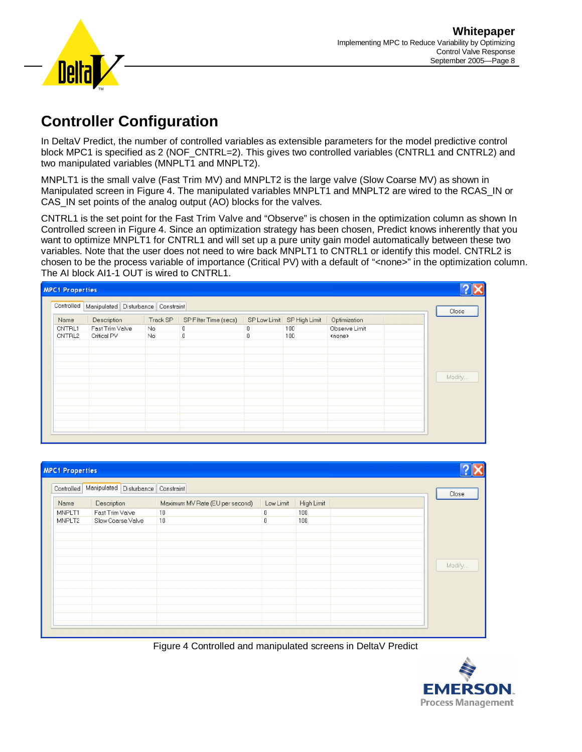

### **Controller Configuration**

In DeltaV Predict, the number of controlled variables as extensible parameters for the model predictive control block MPC1 is specified as 2 (NOF\_CNTRL=2). This gives two controlled variables (CNTRL1 and CNTRL2) and two manipulated variables (MNPLT1 and MNPLT2).

MNPLT1 is the small valve (Fast Trim MV) and MNPLT2 is the large valve (Slow Coarse MV) as shown in Manipulated screen in Figure 4. The manipulated variables MNPLT1 and MNPLT2 are wired to the RCAS\_IN or CAS\_IN set points of the analog output (AO) blocks for the valves.

CNTRL1 is the set point for the Fast Trim Valve and "Observe" is chosen in the optimization column as shown In Controlled screen in Figure 4. Since an optimization strategy has been chosen, Predict knows inherently that you want to optimize MNPLT1 for CNTRL1 and will set up a pure unity gain model automatically between these two variables. Note that the user does not need to wire back MNPLT1 to CNTRL1 or identify this model. CNTRL2 is chosen to be the process variable of importance (Critical PV) with a default of "<none>" in the optimization column. The AI block AI1-1 OUT is wired to CNTRL1.

| <b>MPC1 Properties</b> |                          |                                                     |                        |                                           |                          |                                          |                                                |  |                 |
|------------------------|--------------------------|-----------------------------------------------------|------------------------|-------------------------------------------|--------------------------|------------------------------------------|------------------------------------------------|--|-----------------|
|                        |                          | Controlled   Manipulated   Disturbance   Constraint |                        |                                           |                          |                                          |                                                |  |                 |
|                        | Name<br>CNTRL1<br>CNTRL2 | Description<br>Fast Trim Valve<br>Critical PV       | Track SP<br>No.<br>No. | SP Filter Time (secs)<br>0<br>$\mathbf 0$ | $\mathbf{0}$<br>$\theta$ | SP Low Limit SP High Limit<br>100<br>100 | Optimization<br>Observe Limit<br><none></none> |  | Close<br>Modify |
|                        |                          |                                                     |                        |                                           |                          |                                          |                                                |  |                 |

| <b>MPC1 Properties</b> |                                    |                                 |                  |            |        |
|------------------------|------------------------------------|---------------------------------|------------------|------------|--------|
| Controlled             | Manipulated Disturbance Constraint |                                 |                  |            | Close  |
| Name                   | Description                        | Maximum MV Rate (EU per second) | Low Limit        | High Limit |        |
| MNPLT1                 | Fast Trim Valve                    | 10                              | 0                | 100        |        |
| MNPLT2                 | Slow Coarse Valve                  | 10                              | $\boldsymbol{0}$ | 100        |        |
|                        |                                    |                                 |                  |            |        |
|                        |                                    |                                 |                  |            |        |
|                        |                                    |                                 |                  |            |        |
|                        |                                    |                                 |                  |            |        |
|                        |                                    |                                 |                  |            | Modify |
|                        |                                    |                                 |                  |            |        |
|                        |                                    |                                 |                  |            |        |
|                        |                                    |                                 |                  |            |        |
|                        |                                    |                                 |                  |            |        |
|                        |                                    |                                 |                  |            |        |
|                        |                                    |                                 |                  |            |        |
|                        |                                    |                                 |                  |            |        |
|                        |                                    |                                 |                  |            |        |

Figure 4 Controlled and manipulated screens in DeltaV Predict

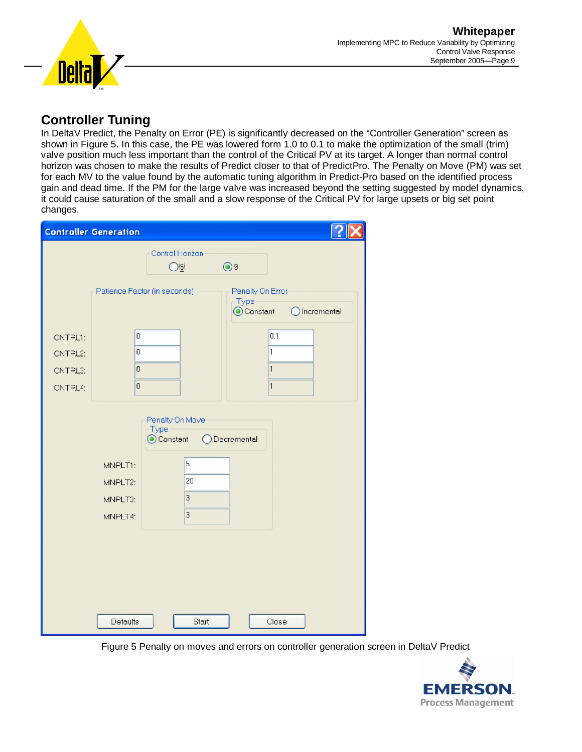

#### **Controller Tuning**

In DeltaV Predict, the Penalty on Error (PE) is significantly decreased on the "Controller Generation" screen as shown in Figure 5. In this case, the PE was lowered form 1.0 to 0.1 to make the optimization of the small (trim) valve position much less important than the control of the Critical PV at its target. A longer than normal control horizon was chosen to make the results of Predict closer to that of PredictPro. The Penalty on Move (PM) was set for each MV to the value found by the automatic tuning algorithm in Predict-Pro based on the identified process gain and dead time. If the PM for the large valve was increased beyond the setting suggested by model dynamics, it could cause saturation of the small and a slow response of the Critical PV for large upsets or big set point changes.

| <b>Controller Generation</b>             |                                                                  |                                                  |                                                |             |  |  |
|------------------------------------------|------------------------------------------------------------------|--------------------------------------------------|------------------------------------------------|-------------|--|--|
|                                          |                                                                  | Control Horizon<br>$\overline{\bigcirc}$         | $\odot$ 9                                      |             |  |  |
|                                          | Patience Factor (in seconds)                                     |                                                  | Penalty On Error<br>Type<br>Constant           | Incremental |  |  |
| CNTRL1:<br>CNTRL2:<br>CNTRL3:<br>CNTRL4: | $\overline{\mathbf{0}}$<br>0<br>$\overline{0}$<br>$\overline{0}$ |                                                  | $\overline{1}$<br>$\mathbf{1}$<br>$\mathbf{1}$ | 0.1         |  |  |
|                                          | MNPLT1:                                                          | Penalty On Move<br>Type<br>◯ Constant<br>5<br>20 | ○Decremental                                   |             |  |  |
|                                          | MNPLT2:<br>MNPLT3:<br>MNPLT4:                                    | 3<br>3                                           |                                                |             |  |  |
|                                          |                                                                  |                                                  |                                                |             |  |  |
|                                          | <b>Defaults</b>                                                  | Start                                            |                                                | Close       |  |  |

Figure 5 Penalty on moves and errors on controller generation screen in DeltaV Predict

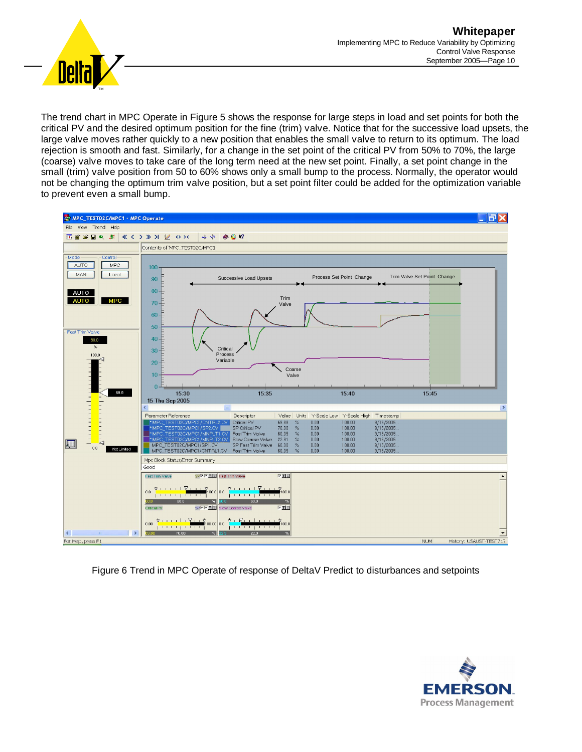

The trend chart in MPC Operate in Figure 5 shows the response for large steps in load and set points for both the critical PV and the desired optimum position for the fine (trim) valve. Notice that for the successive load upsets, the large valve moves rather quickly to a new position that enables the small valve to return to its optimum. The load rejection is smooth and fast. Similarly, for a change in the set point of the critical PV from 50% to 70%, the large (coarse) valve moves to take care of the long term need at the new set point. Finally, a set point change in the small (trim) valve position from 50 to 60% shows only a small bump to the process. Normally, the operator would not be changing the optimum trim valve position, but a set point filter could be added for the optimization variable to prevent even a small bump.



Figure 6 Trend in MPC Operate of response of DeltaV Predict to disturbances and setpoints